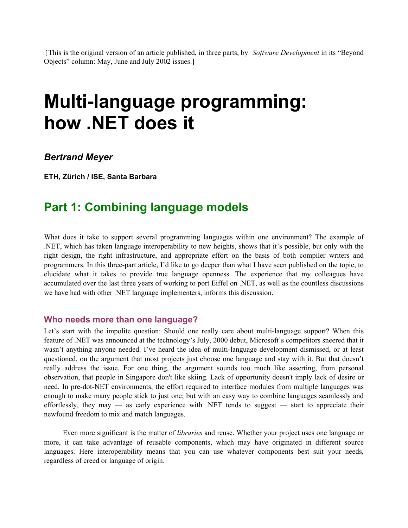[This is the original version of an article published, in three parts, by *Software Development* in its "Beyond Objects" column: May, June and July 2002 issues.]

# **Multi-language programming: how .NET does it**

*Bertrand Meyer* 

**ETH, Zürich / ISE, Santa Barbara** 

# **Part 1: Combining language models**

What does it take to support several programming languages within one environment? The example of .NET, which has taken language interoperability to new heights, shows that it's possible, but only with the right design, the right infrastructure, and appropriate effort on the basis of both compiler writers and programmers. In this three-part article, I'd like to go deeper than what I have seen published on the topic, to elucidate what it takes to provide true language openness. The experience that my colleagues have accumulated over the last three years of working to port Eiffel on .NET, as well as the countless discussions we have had with other .NET language implementers, informs this discussion.

#### **Who needs more than one language?**

Let's start with the impolite question: Should one really care about multi-language support? When this feature of .NET was announced at the technology's July, 2000 debut, Microsoft's competitors sneered that it wasn't anything anyone needed. I've heard the idea of multi-language development dismissed, or at least questioned, on the argument that most projects just choose one language and stay with it. But that doesn't really address the issue. For one thing, the argument sounds too much like asserting, from personal observation, that people in Singapore don't like skiing. Lack of opportunity doesn't imply lack of desire or need. In pre-dot-NET environments, the effort required to interface modules from multiple languages was enough to make many people stick to just one; but with an easy way to combine languages seamlessly and effortlessly, they may — as early experience with .NET tends to suggest — start to appreciate their newfound freedom to mix and match languages.

Even more significant is the matter of *libraries* and reuse. Whether your project uses one language or more, it can take advantage of reusable components, which may have originated in different source languages. Here interoperability means that you can use whatever components best suit your needs, regardless of creed or language of origin.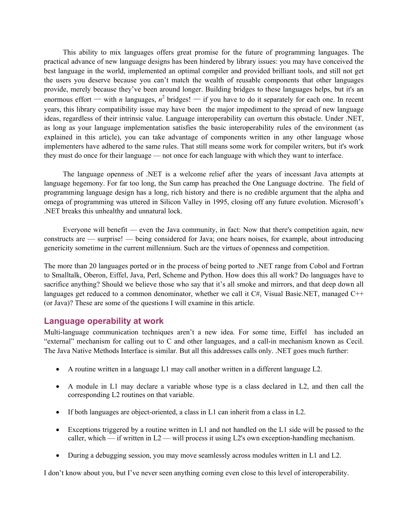This ability to mix languages offers great promise for the future of programming languages. The practical advance of new language designs has been hindered by library issues: you may have conceived the best language in the world, implemented an optimal compiler and provided brilliant tools, and still not get the users you deserve because you can't match the wealth of reusable components that other languages provide, merely because they've been around longer. Building bridges to these languages helps, but it's an enormous effort — with *n* languages,  $n^2$  bridges! — if you have to do it separately for each one. In recent years, this library compatibility issue may have been the major impediment to the spread of new language ideas, regardless of their intrinsic value. Language interoperability can overturn this obstacle. Under .NET, as long as your language implementation satisfies the basic interoperability rules of the environment (as explained in this article), you can take advantage of components written in any other language whose implementers have adhered to the same rules. That still means some work for compiler writers, but it's work they must do once for their language — not once for each language with which they want to interface.

The language openness of .NET is a welcome relief after the years of incessant Java attempts at language hegemony. For far too long, the Sun camp has preached the One Language doctrine. The field of programming language design has a long, rich history and there is no credible argument that the alpha and omega of programming was uttered in Silicon Valley in 1995, closing off any future evolution. Microsoft's .NET breaks this unhealthy and unnatural lock.

Everyone will benefit — even the Java community, in fact: Now that there's competition again, new constructs are — surprise! — being considered for Java; one hears noises, for example, about introducing genericity sometime in the current millennium. Such are the virtues of openness and competition.

The more than 20 languages ported or in the process of being ported to .NET range from Cobol and Fortran to Smalltalk, Oberon, Eiffel, Java, Perl, Scheme and Python. How does this all work? Do languages have to sacrifice anything? Should we believe those who say that it's all smoke and mirrors, and that deep down all languages get reduced to a common denominator, whether we call it C#, Visual Basic.NET, managed C++ (or Java)? These are some of the questions I will examine in this article.

#### **Language operability at work**

Multi-language communication techniques aren't a new idea. For some time, Eiffel has included an "external" mechanism for calling out to C and other languages, and a call-in mechanism known as Cecil. The Java Native Methods Interface is similar. But all this addresses calls only. .NET goes much further:

- A routine written in a language L1 may call another written in a different language L2.
- A module in L1 may declare a variable whose type is a class declared in L2, and then call the corresponding L2 routines on that variable.
- If both languages are object-oriented, a class in L1 can inherit from a class in L2.
- Exceptions triggered by a routine written in L1 and not handled on the L1 side will be passed to the caller, which — if written in  $L2$  — will process it using L2's own exception-handling mechanism.
- During a debugging session, you may move seamlessly across modules written in L1 and L2.

I don't know about you, but I've never seen anything coming even close to this level of interoperability.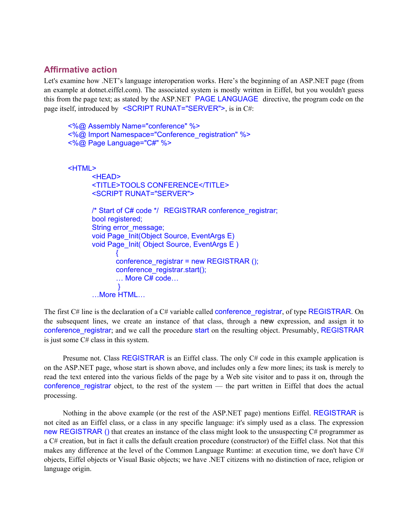## **Affirmative action**

Let's examine how .NET's language interoperation works. Here's the beginning of an ASP.NET page (from an example at dotnet.eiffel.com). The associated system is mostly written in Eiffel, but you wouldn't guess this from the page text; as stated by the ASP.NET PAGE LANGUAGE directive, the program code on the page itself, introduced by <SCRIPT RUNAT="SERVER">, is in C#:

```
<%@ Assembly Name="conference" %> 
      <%@ Import Namespace="Conference_registration" %>
      <%@ Page Language="C#" %> 
      <HTML> 
             <HEAD> 
              <TITLE>TOOLS CONFERENCE</TITLE> 
              <SCRIPT RUNAT="SERVER"> 
             /* Start of C# code */ REGISTRAR conference_registrar; 
             bool registered; 
             String error_message; 
            void Page_Init(Object Source, EventArgs E)
             void Page_Init( Object Source, EventArgs E ) 
                   { 
                   conference_registrar = new REGISTRAR ();
                   conference_registrar.start(); 
                   … More C# code… 
 } 
              …More HTML…
```
The first  $C#$  line is the declaration of a  $C#$  variable called conference registrar, of type REGISTRAR. On the subsequent lines, we create an instance of that class, through a new expression, and assign it to conference registrar; and we call the procedure start on the resulting object. Presumably, REGISTRAR is just some C# class in this system.

Presume not. Class REGISTRAR is an Eiffel class. The only C# code in this example application is on the ASP.NET page, whose start is shown above, and includes only a few more lines; its task is merely to read the text entered into the various fields of the page by a Web site visitor and to pass it on, through the conference\_registrar object, to the rest of the system — the part written in Eiffel that does the actual processing.

Nothing in the above example (or the rest of the ASP.NET page) mentions Eiffel. REGISTRAR is not cited as an Eiffel class, or a class in any specific language: it's simply used as a class. The expression new REGISTRAR () that creates an instance of the class might look to the unsuspecting  $C\#$  programmer as a C# creation, but in fact it calls the default creation procedure (constructor) of the Eiffel class. Not that this makes any difference at the level of the Common Language Runtime: at execution time, we don't have C# objects, Eiffel objects or Visual Basic objects; we have .NET citizens with no distinction of race, religion or language origin.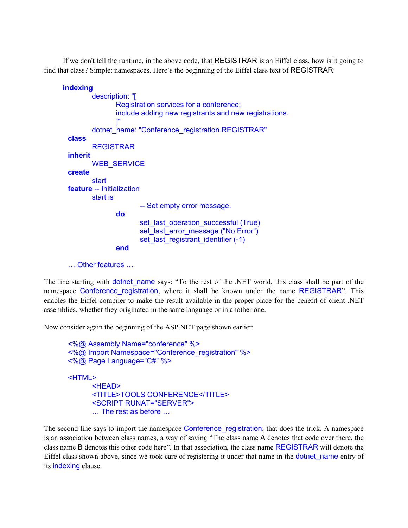If we don't tell the runtime, in the above code, that REGISTRAR is an Eiffel class, how is it going to find that class? Simple: namespaces. Here's the beginning of the Eiffel class text of REGISTRAR:

```
indexing 
               description: "[ 
                      Registration services for a conference; 
                      include adding new registrants and new registrations. 
 ]" 
               dotnet_name: "Conference_registration.REGISTRAR" 
       class
              REGISTRAR 
      inherit 
              WEB_SERVICE
       create 
               start 
       feature -- Initialization 
               start is 
                             -- Set empty error message. 
                      do 
                            set_last_operation_successful (True)
                             set_last_error_message ("No Error")
                            set_last_registrant_identifier (-1)
                      end
```
… Other features …

The line starting with **dotnet\_name** says: "To the rest of the .NET world, this class shall be part of the namespace Conference registration, where it shall be known under the name REGISTRAR". This enables the Eiffel compiler to make the result available in the proper place for the benefit of client .NET assemblies, whether they originated in the same language or in another one.

Now consider again the beginning of the ASP.NET page shown earlier:

```
<%@ Assembly Name="conference" %> 
<%@ Import Namespace="Conference_registration" %>
<%@ Page Language="C#" %> 
<HTML> 
       <HEAD> 
       <TITLE>TOOLS CONFERENCE</TITLE> 
       <SCRIPT RUNAT="SERVER"> 
       … The rest as before …
```
The second line says to import the namespace Conference\_registration; that does the trick. A namespace is an association between class names, a way of saying "The class name A denotes that code over there, the class name B denotes this other code here". In that association, the class name REGISTRAR will denote the Eiffel class shown above, since we took care of registering it under that name in the **dotnet** name entry of its indexing clause.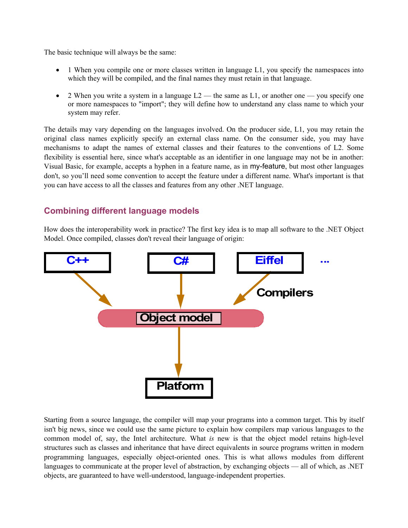The basic technique will always be the same:

- 1 When you compile one or more classes written in language L1, you specify the namespaces into which they will be compiled, and the final names they must retain in that language.
- 2 When you write a system in a language  $L2$  the same as  $L1$ , or another one you specify one or more namespaces to "import"; they will define how to understand any class name to which your system may refer.

The details may vary depending on the languages involved. On the producer side, L1, you may retain the original class names explicitly specify an external class name. On the consumer side, you may have mechanisms to adapt the names of external classes and their features to the conventions of L2. Some flexibility is essential here, since what's acceptable as an identifier in one language may not be in another: Visual Basic, for example, accepts a hyphen in a feature name, as in my-feature, but most other languages don't, so you'll need some convention to accept the feature under a different name. What's important is that you can have access to all the classes and features from any other .NET language.

# **Combining different language models**

How does the interoperability work in practice? The first key idea is to map all software to the .NET Object Model. Once compiled, classes don't reveal their language of origin:



Starting from a source language, the compiler will map your programs into a common target. This by itself isn't big news, since we could use the same picture to explain how compilers map various languages to the common model of, say, the Intel architecture. What *is* new is that the object model retains high-level structures such as classes and inheritance that have direct equivalents in source programs written in modern programming languages, especially object-oriented ones. This is what allows modules from different languages to communicate at the proper level of abstraction, by exchanging objects — all of which, as .NET objects, are guaranteed to have well-understood, language-independent properties.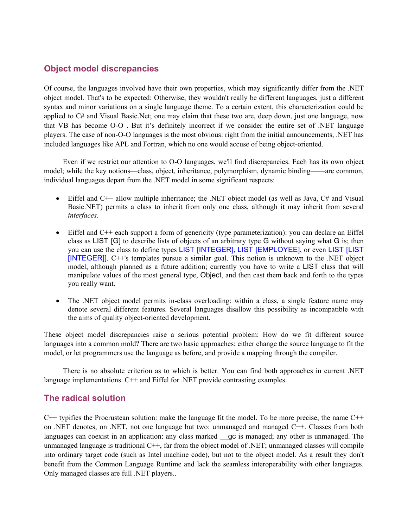# **Object model discrepancies**

Of course, the languages involved have their own properties, which may significantly differ from the .NET object model. That's to be expected: Otherwise, they wouldn't really be different languages, just a different syntax and minor variations on a single language theme. To a certain extent, this characterization could be applied to C# and Visual Basic.Net; one may claim that these two are, deep down, just one language, now that VB has become O-O . But it's definitely incorrect if we consider the entire set of .NET language players. The case of non-O-O languages is the most obvious: right from the initial announcements, .NET has included languages like APL and Fortran, which no one would accuse of being object-oriented.

Even if we restrict our attention to O-O languages, we'll find discrepancies. Each has its own object model; while the key notions—class, object, inheritance, polymorphism, dynamic binding——are common, individual languages depart from the .NET model in some significant respects:

- Eiffel and C++ allow multiple inheritance; the .NET object model (as well as Java, C# and Visual Basic.NET) permits a class to inherit from only one class, although it may inherit from several *interfaces*.
- Eiffel and C++ each support a form of genericity (type parameterization): you can declare an Eiffel class as LIST [G] to describe lists of objects of an arbitrary type G without saying what G is; then you can use the class to define types LIST [INTEGER], LIST [EMPLOYEE], or even LIST [LIST [INTEGER]]. C++'s templates pursue a similar goal. This notion is unknown to the .NET object model, although planned as a future addition; currently you have to write a LIST class that will manipulate values of the most general type, Object, and then cast them back and forth to the types you really want.
- The .NET object model permits in-class overloading: within a class, a single feature name may denote several different features. Several languages disallow this possibility as incompatible with the aims of quality object-oriented development.

These object model discrepancies raise a serious potential problem: How do we fit different source languages into a common mold? There are two basic approaches: either change the source language to fit the model, or let programmers use the language as before, and provide a mapping through the compiler.

There is no absolute criterion as to which is better. You can find both approaches in current .NET language implementations. C++ and Eiffel for .NET provide contrasting examples.

#### **The radical solution**

C++ typifies the Procrustean solution: make the language fit the model. To be more precise, the name C++ on .NET denotes, on .NET, not one language but two: unmanaged and managed C++. Classes from both languages can coexist in an application: any class marked gc is managed; any other is unmanaged. The unmanaged language is traditional  $C++$ , far from the object model of .NET; unmanaged classes will compile into ordinary target code (such as Intel machine code), but not to the object model. As a result they don't benefit from the Common Language Runtime and lack the seamless interoperability with other languages. Only managed classes are full .NET players..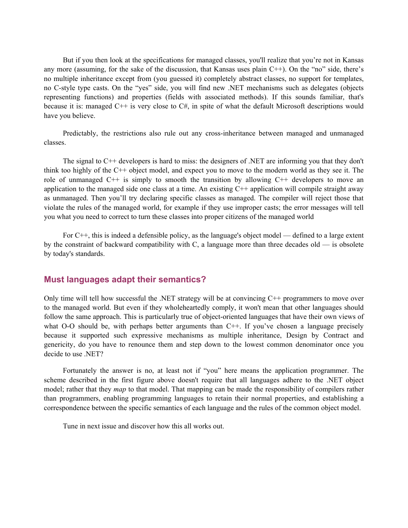But if you then look at the specifications for managed classes, you'll realize that you're not in Kansas any more (assuming, for the sake of the discussion, that Kansas uses plain C++). On the "no" side, there's no multiple inheritance except from (you guessed it) completely abstract classes, no support for templates, no C-style type casts. On the "yes" side, you will find new .NET mechanisms such as delegates (objects representing functions) and properties (fields with associated methods). If this sounds familiar, that's because it is: managed C++ is very close to C#, in spite of what the default Microsoft descriptions would have you believe.

Predictably, the restrictions also rule out any cross-inheritance between managed and unmanaged classes.

The signal to C++ developers is hard to miss: the designers of .NET are informing you that they don't think too highly of the C++ object model, and expect you to move to the modern world as they see it. The role of unmanaged  $C^{++}$  is simply to smooth the transition by allowing  $C^{++}$  developers to move an application to the managed side one class at a time. An existing  $C++$  application will compile straight away as unmanaged. Then you'll try declaring specific classes as managed. The compiler will reject those that violate the rules of the managed world, for example if they use improper casts; the error messages will tell you what you need to correct to turn these classes into proper citizens of the managed world

For C++, this is indeed a defensible policy, as the language's object model — defined to a large extent by the constraint of backward compatibility with C, a language more than three decades old — is obsolete by today's standards.

#### **Must languages adapt their semantics?**

Only time will tell how successful the .NET strategy will be at convincing  $C^{++}$  programmers to move over to the managed world. But even if they wholeheartedly comply, it won't mean that other languages should follow the same approach. This is particularly true of object-oriented languages that have their own views of what O-O should be, with perhaps better arguments than C++. If you've chosen a language precisely because it supported such expressive mechanisms as multiple inheritance, Design by Contract and genericity, do you have to renounce them and step down to the lowest common denominator once you decide to use .NET?

Fortunately the answer is no, at least not if "you" here means the application programmer. The scheme described in the first figure above doesn't require that all languages adhere to the .NET object model; rather that they *map* to that model. That mapping can be made the responsibility of compilers rather than programmers, enabling programming languages to retain their normal properties, and establishing a correspondence between the specific semantics of each language and the rules of the common object model.

Tune in next issue and discover how this all works out.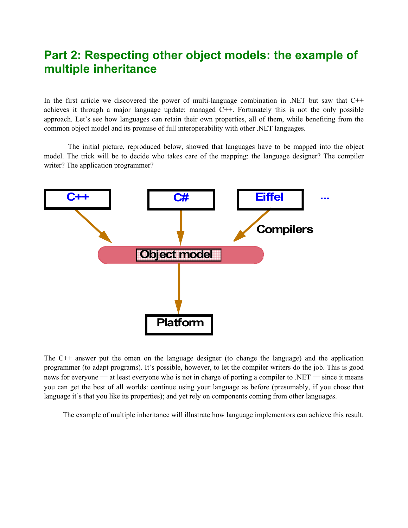# **Part 2: Respecting other object models: the example of multiple inheritance**

In the first article we discovered the power of multi-language combination in .NET but saw that  $C++$ achieves it through a major language update: managed C++. Fortunately this is not the only possible approach. Let's see how languages can retain their own properties, all of them, while benefiting from the common object model and its promise of full interoperability with other .NET languages.

The initial picture, reproduced below, showed that languages have to be mapped into the object model. The trick will be to decide who takes care of the mapping: the language designer? The compiler writer? The application programmer?



The C++ answer put the omen on the language designer (to change the language) and the application programmer (to adapt programs). It's possible, however, to let the compiler writers do the job. This is good news for everyone — at least everyone who is not in charge of porting a compiler to .NET — since it means you can get the best of all worlds: continue using your language as before (presumably, if you chose that language it's that you like its properties); and yet rely on components coming from other languages.

The example of multiple inheritance will illustrate how language implementors can achieve this result.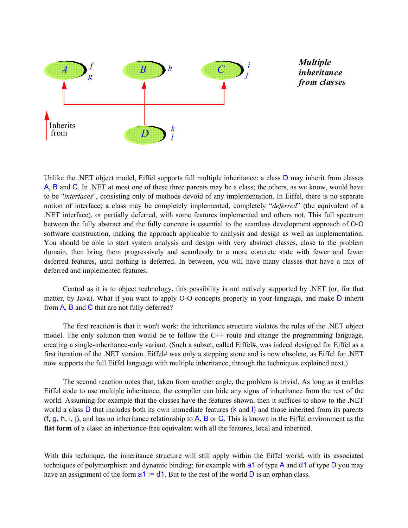

Unlike the .NET object model, Eiffel supports full multiple inheritance: a class D may inherit from classes A, B and C. In .NET at most one of these three parents may be a class; the others, as we know, would have to be "*interfaces*", consisting only of methods devoid of any implementation. In Eiffel, there is no separate notion of interface; a class may be completely implemented, completely "*deferred*" (the equivalent of a .NET interface), or partially deferred, with some features implemented and others not. This full spectrum between the fully abstract and the fully concrete is essential to the seamless development approach of O-O software construction, making the approach applicable to analysis and design as well as implementation. You should be able to start system analysis and design with very abstract classes, close to the problem domain, then bring them progressively and seamlessly to a more concrete state with fewer and fewer deferred features, until nothing is deferred. In between, you will have many classes that have a mix of deferred and implemented features.

Central as it is to object technology, this possibility is not natively supported by .NET (or, for that matter, by Java). What if you want to apply O-O concepts properly in your language, and make D inherit from A, B and C that are not fully deferred?

The first reaction is that it won't work: the inheritance structure violates the rules of the .NET object model. The only solution then would be to follow the  $C++$  route and change the programming language, creating a single-inheritance-only variant. (Such a subset, called Eiffel#, was indeed designed for Eiffel as a first iteration of the .NET version. Eiffel# was only a stepping stone and is now obsolete, as Eiffel for .NET now supports the full Eiffel language with multiple inheritance, through the techniques explained next.)

The second reaction notes that, taken from another angle, the problem is trivial. As long as it enables Eiffel code to use multiple inheritance, the compiler can hide any signs of inheritance from the rest of the world. Assuming for example that the classes have the features shown, then it suffices to show to the .NET world a class D that includes both its own immediate features (k and I) and those inherited from its parents (f, g, h, i, j), and has no inheritance relationship to A, B or C. This is known in the Eiffel environment as the **flat form** of a class: an inheritance-free equivalent with all the features, local and inherited.

With this technique, the inheritance structure will still apply within the Eiffel world, with its associated techniques of polymorphism and dynamic binding; for example with a1 of type A and d1 of type D you may have an assignment of the form  $a1 := d1$ . But to the rest of the world D is an orphan class.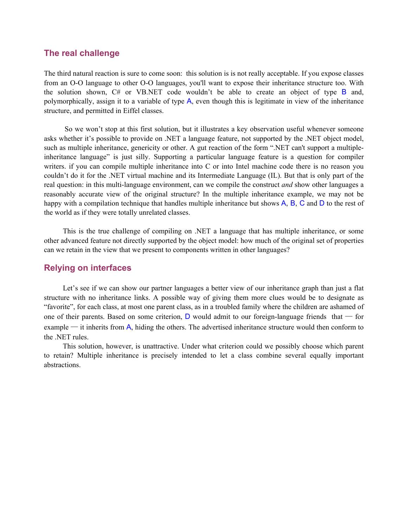#### **The real challenge**

The third natural reaction is sure to come soon: this solution is is not really acceptable. If you expose classes from an O-O language to other O-O languages, you'll want to expose their inheritance structure too. With the solution shown,  $C#$  or VB.NET code wouldn't be able to create an object of type B and, polymorphically, assign it to a variable of type A, even though this is legitimate in view of the inheritance structure, and permitted in Eiffel classes.

 So we won't stop at this first solution, but it illustrates a key observation useful whenever someone asks whether it's possible to provide on .NET a language feature, not supported by the .NET object model, such as multiple inheritance, genericity or other. A gut reaction of the form ".NET can't support a multipleinheritance language" is just silly. Supporting a particular language feature is a question for compiler writers. if you can compile multiple inheritance into C or into Intel machine code there is no reason you couldn't do it for the .NET virtual machine and its Intermediate Language (IL). But that is only part of the real question: in this multi-language environment, can we compile the construct *and* show other languages a reasonably accurate view of the original structure? In the multiple inheritance example, we may not be happy with a compilation technique that handles multiple inheritance but shows A, B, C and D to the rest of the world as if they were totally unrelated classes.

This is the true challenge of compiling on .NET a language that has multiple inheritance, or some other advanced feature not directly supported by the object model: how much of the original set of properties can we retain in the view that we present to components written in other languages?

#### **Relying on interfaces**

Let's see if we can show our partner languages a better view of our inheritance graph than just a flat structure with no inheritance links. A possible way of giving them more clues would be to designate as "favorite", for each class, at most one parent class, as in a troubled family where the children are ashamed of one of their parents. Based on some criterion,  $D$  would admit to our foreign-language friends that  $\overline{\phantom{a}}$  for example — it inherits from A, hiding the others. The advertised inheritance structure would then conform to the .NET rules.

This solution, however, is unattractive. Under what criterion could we possibly choose which parent to retain? Multiple inheritance is precisely intended to let a class combine several equally important abstractions.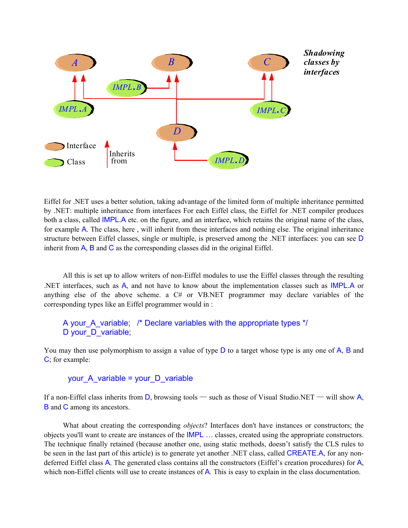

Eiffel for .NET uses a better solution, taking advantage of the limited form of multiple inheritance permitted by .NET: multiple inheritance from interfaces For each Eiffel class, the Eiffel for .NET compiler produces both a class, called IMPL.A etc. on the figure, and an interface, which retains the original name of the class, for example A. The class, here , will inherit from these interfaces and nothing else. The original inheritance structure between Eiffel classes, single or multiple, is preserved among the .NET interfaces: you can see D inherit from  $\overline{A}$ ,  $\overline{B}$  and  $\overline{C}$  as the corresponding classes did in the original Eiffel.

All this is set up to allow writers of non-Eiffel modules to use the Eiffel classes through the resulting .NET interfaces, such as A, and not have to know about the implementation classes such as IMPL.A or anything else of the above scheme. a  $C#$  or VB.NET programmer may declare variables of the corresponding types like an Eiffel programmer would in :

#### A your A variable; /\* Declare variables with the appropriate types \*/ D your D variable;

You may then use polymorphism to assign a value of type  $D$  to a target whose type is any one of  $A$ ,  $B$  and C; for example:

#### your A variable = your D variable

If a non-Eiffel class inherits from  $D$ , browsing tools — such as those of Visual Studio.NET — will show A, B and C among its ancestors.

What about creating the corresponding *objects*? Interfaces don't have instances or constructors; the objects you'll want to create are instances of the IMPL … classes, created using the appropriate constructors. The technique finally retained (because another one, using static methods, doesn't satisfy the CLS rules to be seen in the last part of this article) is to generate yet another .NET class, called CREATE.A, for any nondeferred Eiffel class A. The generated class contains all the constructors (Eiffel's creation procedures) for A, which non-Eiffel clients will use to create instances of A. This is easy to explain in the class documentation.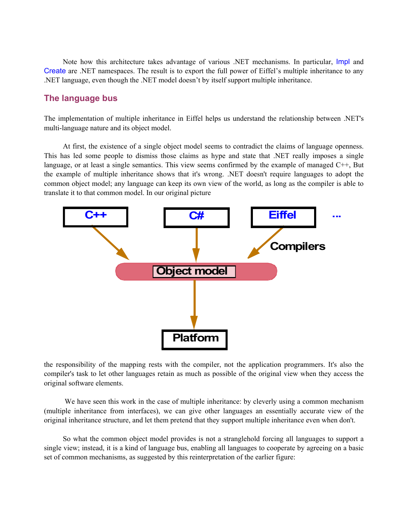Note how this architecture takes advantage of various .NET mechanisms. In particular, Impl and Create are .NET namespaces. The result is to export the full power of Eiffel's multiple inheritance to any .NET language, even though the .NET model doesn't by itself support multiple inheritance.

#### **The language bus**

The implementation of multiple inheritance in Eiffel helps us understand the relationship between .NET's multi-language nature and its object model.

At first, the existence of a single object model seems to contradict the claims of language openness. This has led some people to dismiss those claims as hype and state that .NET really imposes a single language, or at least a single semantics. This view seems confirmed by the example of managed C++, But the example of multiple inheritance shows that it's wrong. .NET doesn't require languages to adopt the common object model; any language can keep its own view of the world, as long as the compiler is able to translate it to that common model. In our original picture



the responsibility of the mapping rests with the compiler, not the application programmers. It's also the compiler's task to let other languages retain as much as possible of the original view when they access the original software elements.

We have seen this work in the case of multiple inheritance: by cleverly using a common mechanism (multiple inheritance from interfaces), we can give other languages an essentially accurate view of the original inheritance structure, and let them pretend that they support multiple inheritance even when don't.

So what the common object model provides is not a stranglehold forcing all languages to support a single view; instead, it is a kind of language bus, enabling all languages to cooperate by agreeing on a basic set of common mechanisms, as suggested by this reinterpretation of the earlier figure: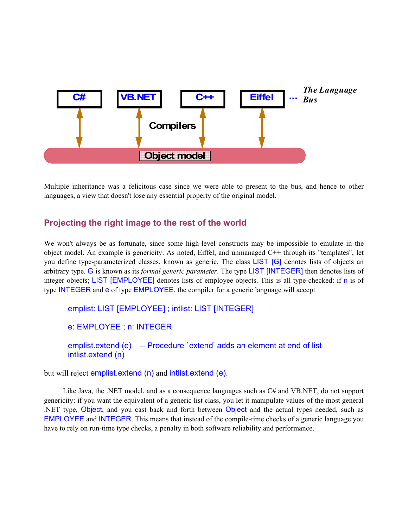

Multiple inheritance was a felicitous case since we were able to present to the bus, and hence to other languages, a view that doesn't lose any essential property of the original model.

### **Projecting the right image to the rest of the world**

We won't always be as fortunate, since some high-level constructs may be impossible to emulate in the object model. An example is genericity. As noted, Eiffel, and unmanaged C++ through its "templates", let you define type-parameterized classes. known as generic. The class LIST [G] denotes lists of objects an arbitrary type. G is known as its *formal generic parameter*. The type LIST [INTEGER] then denotes lists of integer objects; LIST [EMPLOYEE] denotes lists of employee objects. This is all type-checked: if n is of type INTEGER and e of type EMPLOYEE, the compiler for a generic language will accept

emplist: LIST [EMPLOYEE] ; intlist: LIST [INTEGER]

e: EMPLOYEE ; n: INTEGER

emplist.extend (e) -- Procedure `extend' adds an element at end of list intlist.extend (n)

but will reject emplist extend (n) and intlist extend (e).

Like Java, the .NET model, and as a consequence languages such as C# and VB.NET, do not support genericity: if you want the equivalent of a generic list class, you let it manipulate values of the most general .NET type, Object, and you cast back and forth between Object and the actual types needed, such as EMPLOYEE and INTEGER. This means that instead of the compile-time checks of a generic language you have to rely on run-time type checks, a penalty in both software reliability and performance.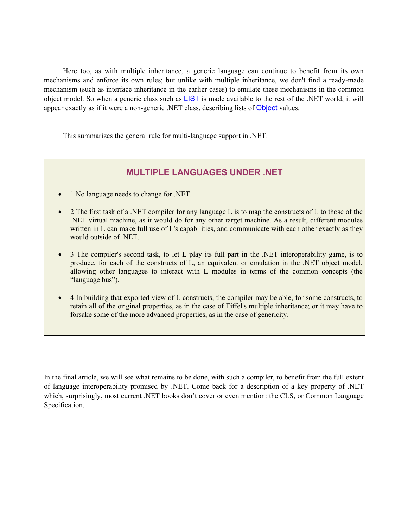Here too, as with multiple inheritance, a generic language can continue to benefit from its own mechanisms and enforce its own rules; but unlike with multiple inheritance, we don't find a ready-made mechanism (such as interface inheritance in the earlier cases) to emulate these mechanisms in the common object model. So when a generic class such as LIST is made available to the rest of the .NET world, it will appear exactly as if it were a non-generic .NET class, describing lists of Object values.

This summarizes the general rule for multi-language support in .NET:

### **MULTIPLE LANGUAGES UNDER .NET**

- 1 No language needs to change for .NET.
- 2 The first task of a .NET compiler for any language L is to map the constructs of L to those of the .NET virtual machine, as it would do for any other target machine. As a result, different modules written in L can make full use of L's capabilities, and communicate with each other exactly as they would outside of .NET.
- 3 The compiler's second task, to let L play its full part in the .NET interoperability game, is to produce, for each of the constructs of L, an equivalent or emulation in the .NET object model, allowing other languages to interact with L modules in terms of the common concepts (the "language bus").
- 4 In building that exported view of L constructs, the compiler may be able, for some constructs, to retain all of the original properties, as in the case of Eiffel's multiple inheritance; or it may have to forsake some of the more advanced properties, as in the case of genericity.

In the final article, we will see what remains to be done, with such a compiler, to benefit from the full extent of language interoperability promised by .NET. Come back for a description of a key property of .NET which, surprisingly, most current .NET books don't cover or even mention: the CLS, or Common Language Specification.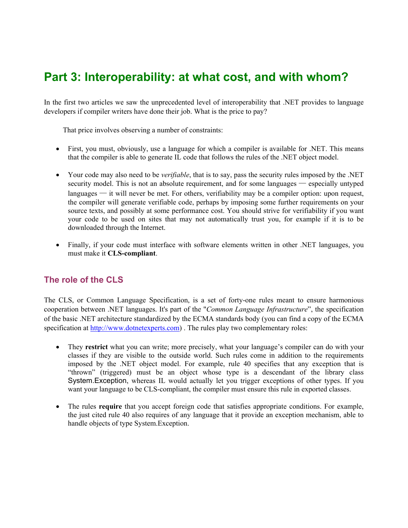# **Part 3: Interoperability: at what cost, and with whom?**

In the first two articles we saw the unprecedented level of interoperability that .NET provides to language developers if compiler writers have done their job. What is the price to pay?

That price involves observing a number of constraints:

- First, you must, obviously, use a language for which a compiler is available for .NET. This means that the compiler is able to generate IL code that follows the rules of the .NET object model.
- Your code may also need to be *verifiable*, that is to say, pass the security rules imposed by the .NET security model. This is not an absolute requirement, and for some languages — especially untyped  $l$ anguages  $-$  it will never be met. For others, verifiability may be a compiler option: upon request, the compiler will generate verifiable code, perhaps by imposing some further requirements on your source texts, and possibly at some performance cost. You should strive for verifiability if you want your code to be used on sites that may not automatically trust you, for example if it is to be downloaded through the Internet.
- Finally, if your code must interface with software elements written in other .NET languages, you must make it **CLS-compliant**.

# **The role of the CLS**

The CLS, or Common Language Specification, is a set of forty-one rules meant to ensure harmonious cooperation between .NET languages. It's part of the "*Common Language Infrastructure*", the specification of the basic .NET architecture standardized by the ECMA standards body (you can find a copy of the ECMA specification at [http://www.dotnetexperts.com](http://www.dotnetexperts.com/)) . The rules play two complementary roles:

- They **restrict** what you can write; more precisely, what your language's compiler can do with your classes if they are visible to the outside world. Such rules come in addition to the requirements imposed by the .NET object model. For example, rule 40 specifies that any exception that is "thrown" (triggered) must be an object whose type is a descendant of the library class System.Exception, whereas IL would actually let you trigger exceptions of other types. If you want your language to be CLS-compliant, the compiler must ensure this rule in exported classes.
- The rules **require** that you accept foreign code that satisfies appropriate conditions. For example, the just cited rule 40 also requires of any language that it provide an exception mechanism, able to handle objects of type System.Exception.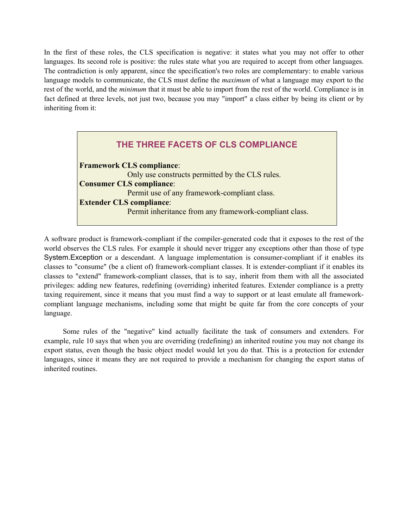In the first of these roles, the CLS specification is negative: it states what you may not offer to other languages. Its second role is positive: the rules state what you are required to accept from other languages. The contradiction is only apparent, since the specification's two roles are complementary: to enable various language models to communicate, the CLS must define the *maximum* of what a language may export to the rest of the world, and the *minimum* that it must be able to import from the rest of the world. Compliance is in fact defined at three levels, not just two, because you may "import" a class either by being its client or by inheriting from it:

| THE THREE FACETS OF CLS COMPLIANCE                     |
|--------------------------------------------------------|
| <b>Framework CLS compliance:</b>                       |
| Only use constructs permitted by the CLS rules.        |
| <b>Consumer CLS compliance:</b>                        |
| Permit use of any framework-compliant class.           |
| <b>Extender CLS compliance:</b>                        |
| Permit inheritance from any framework-compliant class. |
|                                                        |

A software product is framework-compliant if the compiler-generated code that it exposes to the rest of the world observes the CLS rules. For example it should never trigger any exceptions other than those of type System.Exception or a descendant. A language implementation is consumer-compliant if it enables its classes to "consume" (be a client of) framework-compliant classes. It is extender-compliant if it enables its classes to "extend" framework-compliant classes, that is to say, inherit from them with all the associated privileges: adding new features, redefining (overriding) inherited features. Extender compliance is a pretty taxing requirement, since it means that you must find a way to support or at least emulate all frameworkcompliant language mechanisms, including some that might be quite far from the core concepts of your language.

Some rules of the "negative" kind actually facilitate the task of consumers and extenders. For example, rule 10 says that when you are overriding (redefining) an inherited routine you may not change its export status, even though the basic object model would let you do that. This is a protection for extender languages, since it means they are not required to provide a mechanism for changing the export status of inherited routines.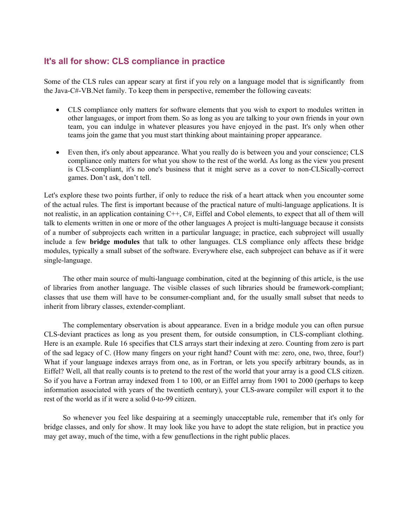### **It's all for show: CLS compliance in practice**

Some of the CLS rules can appear scary at first if you rely on a language model that is significantly from the Java-C#-VB.Net family. To keep them in perspective, remember the following caveats:

- CLS compliance only matters for software elements that you wish to export to modules written in other languages, or import from them. So as long as you are talking to your own friends in your own team, you can indulge in whatever pleasures you have enjoyed in the past. It's only when other teams join the game that you must start thinking about maintaining proper appearance.
- Even then, it's only about appearance. What you really do is between you and your conscience; CLS compliance only matters for what you show to the rest of the world. As long as the view you present is CLS-compliant, it's no one's business that it might serve as a cover to non-CLSically-correct games. Don't ask, don't tell.

Let's explore these two points further, if only to reduce the risk of a heart attack when you encounter some of the actual rules. The first is important because of the practical nature of multi-language applications. It is not realistic, in an application containing C++, C#, Eiffel and Cobol elements, to expect that all of them will talk to elements written in one or more of the other languages A project is multi-language because it consists of a number of subprojects each written in a particular language; in practice, each subproject will usually include a few **bridge modules** that talk to other languages. CLS compliance only affects these bridge modules, typically a small subset of the software. Everywhere else, each subproject can behave as if it were single-language.

The other main source of multi-language combination, cited at the beginning of this article, is the use of libraries from another language. The visible classes of such libraries should be framework-compliant; classes that use them will have to be consumer-compliant and, for the usually small subset that needs to inherit from library classes, extender-compliant.

The complementary observation is about appearance. Even in a bridge module you can often pursue CLS-deviant practices as long as you present them, for outside consumption, in CLS-compliant clothing. Here is an example. Rule 16 specifies that CLS arrays start their indexing at zero. Counting from zero is part of the sad legacy of C. (How many fingers on your right hand? Count with me: zero, one, two, three, four!) What if your language indexes arrays from one, as in Fortran, or lets you specify arbitrary bounds, as in Eiffel? Well, all that really counts is to pretend to the rest of the world that your array is a good CLS citizen. So if you have a Fortran array indexed from 1 to 100, or an Eiffel array from 1901 to 2000 (perhaps to keep information associated with years of the twentieth century), your CLS-aware compiler will export it to the rest of the world as if it were a solid 0-to-99 citizen.

So whenever you feel like despairing at a seemingly unacceptable rule, remember that it's only for bridge classes, and only for show. It may look like you have to adopt the state religion, but in practice you may get away, much of the time, with a few genuflections in the right public places.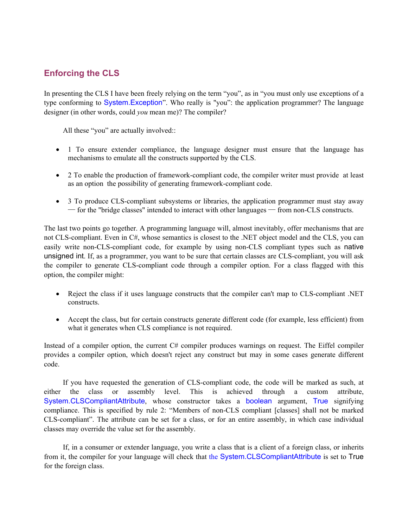# **Enforcing the CLS**

In presenting the CLS I have been freely relying on the term "you", as in "you must only use exceptions of a type conforming to System.Exception". Who really is "you": the application programmer? The language designer (in other words, could *you* mean me)? The compiler?

All these "you" are actually involved::

- 1 To ensure extender compliance, the language designer must ensure that the language has mechanisms to emulate all the constructs supported by the CLS.
- 2 To enable the production of framework-compliant code, the compiler writer must provide at least as an option the possibility of generating framework-compliant code.
- 3 To produce CLS-compliant subsystems or libraries, the application programmer must stay away ─ for the "bridge classes" intended to interact with other languages ─ from non-CLS constructs.

The last two points go together. A programming language will, almost inevitably, offer mechanisms that are not CLS-compliant. Even in C#, whose semantics is closest to the .NET object model and the CLS, you can easily write non-CLS-compliant code, for example by using non-CLS compliant types such as native unsigned int. If, as a programmer, you want to be sure that certain classes are CLS-compliant, you will ask the compiler to generate CLS-compliant code through a compiler option. For a class flagged with this option, the compiler might:

- Reject the class if it uses language constructs that the compiler can't map to CLS-compliant .NET constructs.
- Accept the class, but for certain constructs generate different code (for example, less efficient) from what it generates when CLS compliance is not required.

Instead of a compiler option, the current C# compiler produces warnings on request. The Eiffel compiler provides a compiler option, which doesn't reject any construct but may in some cases generate different code.

If you have requested the generation of CLS-compliant code, the code will be marked as such, at either the class or assembly level. This is achieved through a custom attribute, System.CLSCompliantAttribute, whose constructor takes a boolean argument, True signifying compliance. This is specified by rule 2: "Members of non-CLS compliant [classes] shall not be marked CLS-compliant". The attribute can be set for a class, or for an entire assembly, in which case individual classes may override the value set for the assembly.

If, in a consumer or extender language, you write a class that is a client of a foreign class, or inherits from it, the compiler for your language will check that the System.CLSCompliantAttribute is set to True for the foreign class.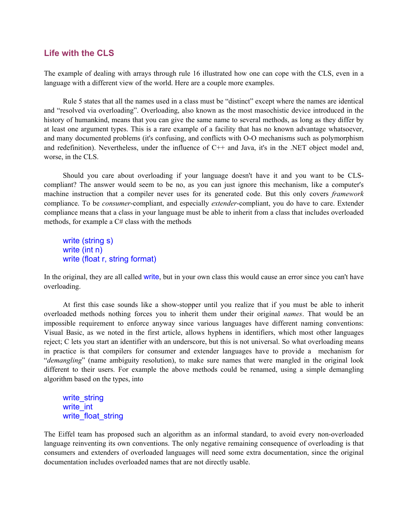#### **Life with the CLS**

The example of dealing with arrays through rule 16 illustrated how one can cope with the CLS, even in a language with a different view of the world. Here are a couple more examples.

Rule 5 states that all the names used in a class must be "distinct" except where the names are identical and "resolved via overloading". Overloading, also known as the most masochistic device introduced in the history of humankind, means that you can give the same name to several methods, as long as they differ by at least one argument types. This is a rare example of a facility that has no known advantage whatsoever, and many documented problems (it's confusing, and conflicts with O-O mechanisms such as polymorphism and redefinition). Nevertheless, under the influence of C++ and Java, it's in the .NET object model and, worse, in the CLS.

Should you care about overloading if your language doesn't have it and you want to be CLScompliant? The answer would seem to be no, as you can just ignore this mechanism, like a computer's machine instruction that a compiler never uses for its generated code. But this only covers *framework* compliance. To be *consumer*-compliant, and especially *extender*-compliant, you do have to care. Extender compliance means that a class in your language must be able to inherit from a class that includes overloaded methods, for example a C# class with the methods

write (string s) write (int n) write (float r, string format)

In the original, they are all called write, but in your own class this would cause an error since you can't have overloading.

At first this case sounds like a show-stopper until you realize that if you must be able to inherit overloaded methods nothing forces you to inherit them under their original *names*. That would be an impossible requirement to enforce anyway since various languages have different naming conventions: Visual Basic, as we noted in the first article, allows hyphens in identifiers, which most other languages reject; C lets you start an identifier with an underscore, but this is not universal. So what overloading means in practice is that compilers for consumer and extender languages have to provide a mechanism for "*demangling*" (name ambiguity resolution), to make sure names that were mangled in the original look different to their users. For example the above methods could be renamed, using a simple demangling algorithm based on the types, into

write\_string write int write float string

The Eiffel team has proposed such an algorithm as an informal standard, to avoid every non-overloaded language reinventing its own conventions. The only negative remaining consequence of overloading is that consumers and extenders of overloaded languages will need some extra documentation, since the original documentation includes overloaded names that are not directly usable.